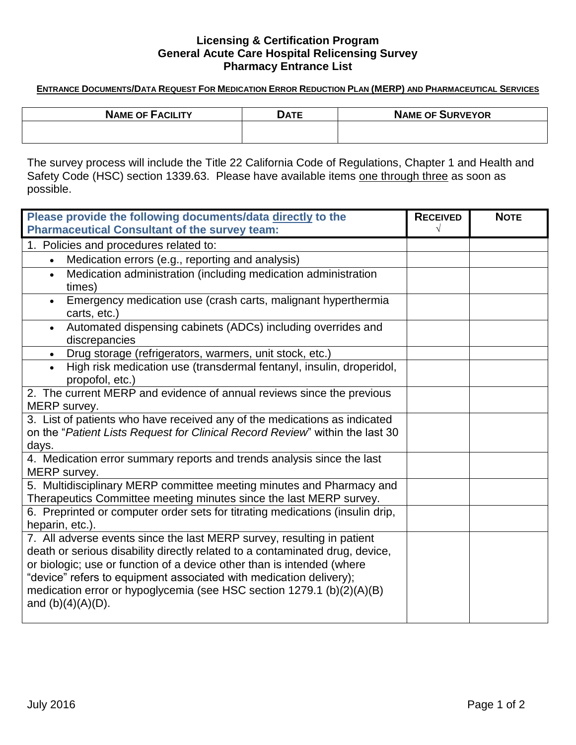### **Licensing & Certification Program General Acute Care Hospital Relicensing Survey Pharmacy Entrance List**

#### ENTRANCE DOCUMENTS/DATA REQUEST FOR MEDICATION ERROR REDUCTION PLAN (MERP) AND PHARMACEUTICAL SERVICES

| <b>NAME OF FACILITY</b> | <b>DATE</b> | <b>NAME OF SURVEYOR</b> |
|-------------------------|-------------|-------------------------|
|                         |             |                         |
|                         |             |                         |

The survey process will include the Title 22 California Code of Regulations, Chapter 1 and Health and Safety Code (HSC) section 1339.63. Please have available items one through three as soon as possible.

| Please provide the following documents/data directly to the                   | <b>RECEIVED</b> | <b>NOTE</b> |
|-------------------------------------------------------------------------------|-----------------|-------------|
| <b>Pharmaceutical Consultant of the survey team:</b>                          |                 |             |
| 1. Policies and procedures related to:                                        |                 |             |
| Medication errors (e.g., reporting and analysis)<br>$\bullet$                 |                 |             |
| Medication administration (including medication administration                |                 |             |
| times)                                                                        |                 |             |
| Emergency medication use (crash carts, malignant hyperthermia                 |                 |             |
| carts, etc.)                                                                  |                 |             |
| Automated dispensing cabinets (ADCs) including overrides and                  |                 |             |
| discrepancies                                                                 |                 |             |
| Drug storage (refrigerators, warmers, unit stock, etc.)<br>$\bullet$          |                 |             |
| High risk medication use (transdermal fentanyl, insulin, droperidol,          |                 |             |
| propofol, etc.)                                                               |                 |             |
| 2. The current MERP and evidence of annual reviews since the previous         |                 |             |
| MERP survey.                                                                  |                 |             |
| 3. List of patients who have received any of the medications as indicated     |                 |             |
| on the "Patient Lists Request for Clinical Record Review" within the last 30  |                 |             |
| days.                                                                         |                 |             |
| 4. Medication error summary reports and trends analysis since the last        |                 |             |
| MERP survey.                                                                  |                 |             |
| 5. Multidisciplinary MERP committee meeting minutes and Pharmacy and          |                 |             |
| Therapeutics Committee meeting minutes since the last MERP survey.            |                 |             |
| 6. Preprinted or computer order sets for titrating medications (insulin drip, |                 |             |
| heparin, etc.).                                                               |                 |             |
| 7. All adverse events since the last MERP survey, resulting in patient        |                 |             |
| death or serious disability directly related to a contaminated drug, device,  |                 |             |
| or biologic; use or function of a device other than is intended (where        |                 |             |
| "device" refers to equipment associated with medication delivery);            |                 |             |
| medication error or hypoglycemia (see HSC section 1279.1 (b)(2)(A)(B)         |                 |             |
| and $(b)(4)(A)(D)$ .                                                          |                 |             |
|                                                                               |                 |             |